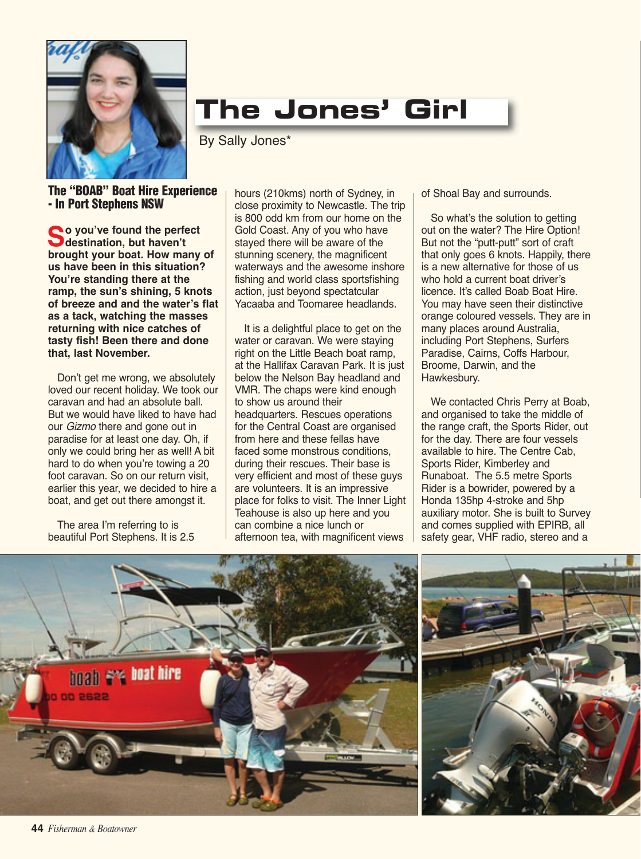

## **The Jones' Girl**

By Sally Jones\*

**The "BOAB" Boat Hire Experience - In Port Stephens NSW** 

**So you've found the perfect destination, but haven't brought your boat. How many of us have been in this situation? You're standing there at the ramp, the sun's shining, 5 knots of breeze and and the water's flat as a tack, watching the masses returning with nice catches of tasty fish! Been there and done that, last November.** 

Don't get me wrong, we absolutely loved our recent holiday. We took our caravan and had an absolute ball. But we would have liked to have had our Gizmo there and gone out in paradise for at least one day. Oh, if only we could bring her as well! A bit hard to do when you're towing a 20 foot caravan. So on our return visit, earlier this year, we decided to hire a boat, and get out there amongst it.

The area I'm referring to is beautiful Port Stephens. It is 2.5 hours (210kms) north of Sydney, in close proximity to Newcastle. The trip is 800 odd km from our home on the Gold Coast. Any of you who have stayed there will be aware of the stunning scenery, the magnificent waterways and the awesome inshore fishing and world class sportsfishing action, just beyond spectatcular Yacaaba and Toomaree headlands.

It is a delightful place to get on the water or caravan. We were staying right on the Little Beach boat ramp, at the Hallifax Caravan Park. It is just below the Nelson Bay headland and VMR. The chaps were kind enough to show us around their headquarters. Rescues operations for the Central Coast are organised from here and these fellas have faced some monstrous conditions, during their rescues. Their base is very efficient and most of these guys are volunteers. It is an impressive place for folks to visit. The Inner Light Teahouse is also up here and you can combine a nice lunch or afternoon tea, with magnificent views

of Shoal Bay and surrounds.

So what's the solution to getting out on the water? The Hire Option! But not the "putt-putt" sort of craft that only goes 6 knots. Happily, there is a new alternative for those of us who hold a current boat driver's licence. It's called Boab Boat Hire. You may have seen their distinctive orange coloured vessels. They are in many places around Australia, including Port Stephens, Surfers Paradise, Cairns, Coffs Harbour, Broome, Darwin, and the Hawkesbury.

We contacted Chris Perry at Boab, and organised to take the middle of the range craft, the Sports Rider, out for the day. There are four vessels available to hire. The Centre Cab, Sports Rider, Kimberley and Runaboat. The 5.5 metre Sports Rider is a bowrider, powered by a Honda 135hp 4-stroke and 5hp auxiliary motor. She is built to Survey and comes supplied with EPIRB, all safety gear, VHF radio, stereo and a



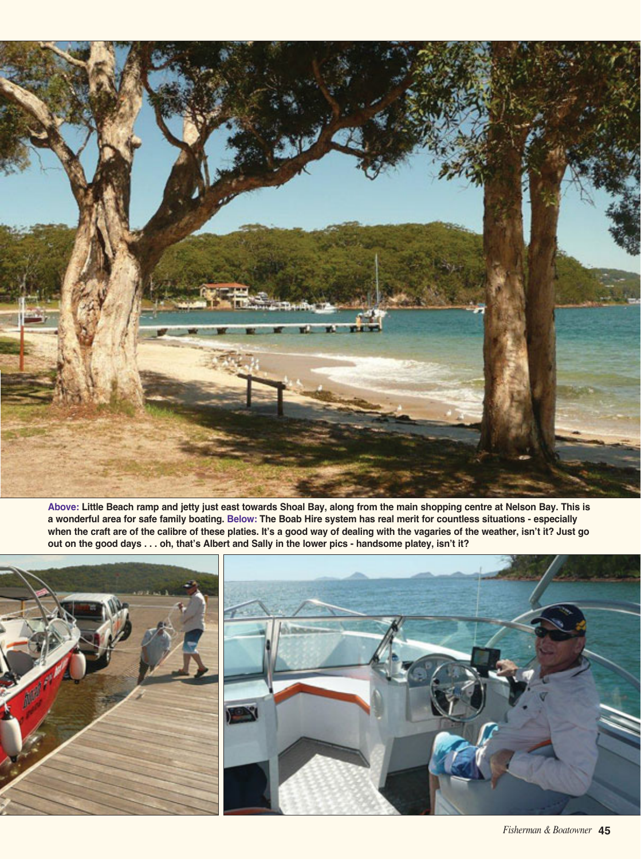

**Above: Little Beach ramp and jetty just east towards Shoal Bay, along from the main shopping centre at Nelson Bay. This is a wonderful area for safe family boating. Below: The Boab Hire system has real merit for countless situations - especially when the craft are of the calibre of these platies. It's a good way of dealing with the vagaries of the weather, isn't it? Just go** out on the good days . . . oh, that's Albert and Sally in the lower pics - handsome platey, isn't it?

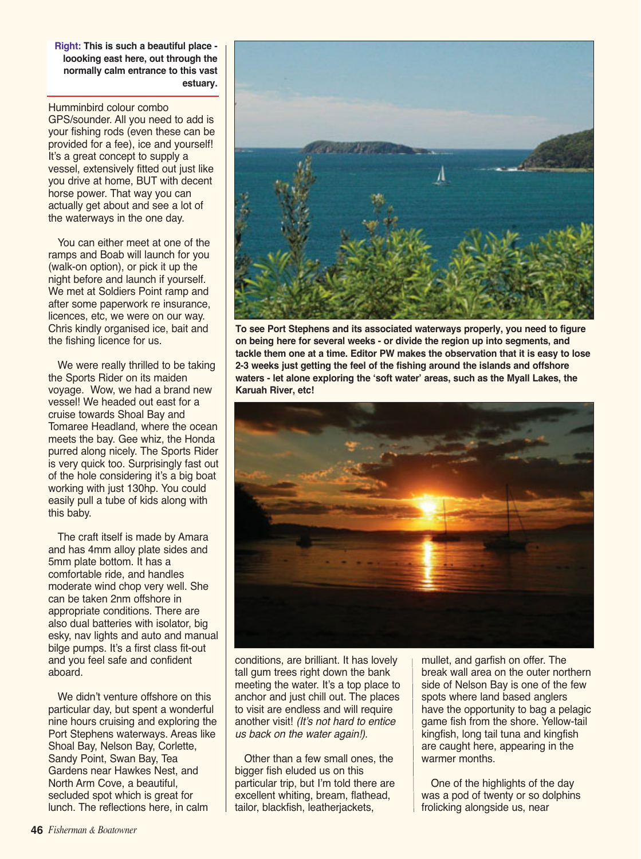**Right: This is such a beautiful place loooking east here, out through the normally calm entrance to this vast estuary.** 

Humminbird colour combo GPS/sounder. All you need to add is your fishing rods (even these can be provided for a fee), ice and yourself! It's a great concept to supply a vessel, extensively fitted out just like you drive at home, BUT with decent horse power. That way you can actually get about and see a lot of the waterways in the one day.

You can either meet at one of the ramps and Boab will launch for you (walk-on option), or pick it up the night before and launch if yourself. We met at Soldiers Point ramp and after some paperwork re insurance, licences, etc, we were on our way. Chris kindly organised ice, bait and the fishing licence for us.

We were really thrilled to be taking the Sports Rider on its maiden voyage. Wow, we had a brand new vessel! We headed out east for a cruise towards Shoal Bay and Tomaree Headland, where the ocean meets the bay. Gee whiz, the Honda purred along nicely. The Sports Rider is very quick too. Surprisingly fast out of the hole considering it's a big boat working with just 130hp. You could easily pull a tube of kids along with this baby.

The craft itself is made by Amara and has 4mm alloy plate sides and 5mm plate bottom. It has a comfortable ride, and handles moderate wind chop very well. She can be taken 2nm offshore in appropriate conditions. There are also dual batteries with isolator, big esky, nav lights and auto and manual bilge pumps. It's a first class fit-out and you feel safe and confident aboard.

We didn't venture offshore on this particular day, but spent a wonderful nine hours cruising and exploring the Port Stephens waterways. Areas like Shoal Bay, Nelson Bay, Corlette, Sandy Point, Swan Bay, Tea Gardens near Hawkes Nest, and North Arm Cove, a beautiful, secluded spot which is great for lunch. The reflections here, in calm



**To see Port Stephens and its associated waterways properly, you need to figure on being here for several weeks - or divide the region up into segments, and tackle them one at a time. Editor PW makes the observation that it is easy to lose 2-3 weeks just getting the feel of the fishing around the islands and offshore waters - let alone exploring the ʻsoft water' areas, such as the Myall Lakes, the Karuah River, etc!**



conditions, are brilliant. It has lovely tall gum trees right down the bank meeting the water. It's a top place to anchor and just chill out. The places to visit are endless and will require another visit! (It's not hard to entice us back on the water again!).

Other than a few small ones, the bigger fish eluded us on this particular trip, but I'm told there are excellent whiting, bream, flathead, tailor, blackfish, leatherjackets,

mullet, and garfish on offer. The break wall area on the outer northern side of Nelson Bay is one of the few spots where land based anglers have the opportunity to bag a pelagic game fish from the shore. Yellow-tail kingfish, long tail tuna and kingfish are caught here, appearing in the warmer months.

One of the highlights of the day was a pod of twenty or so dolphins frolicking alongside us, near